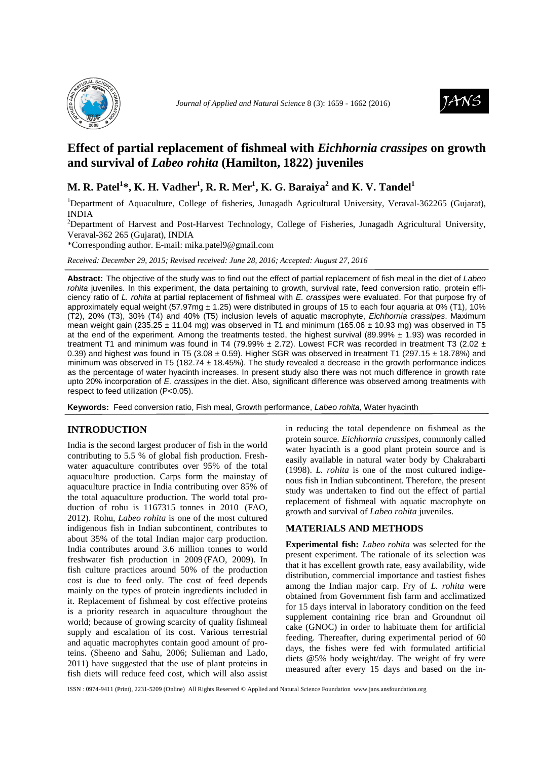



# **Effect of partial replacement of fishmeal with** *Eichhornia crassipes* **on growth and survival of** *Labeo rohita* **(Hamilton, 1822) juveniles**

## **M. R. Patel<sup>1</sup> \*, K. H. Vadher<sup>1</sup> , R. R. Mer<sup>1</sup> , K. G. Baraiya<sup>2</sup> and K. V. Tandel<sup>1</sup>**

<sup>1</sup>Department of Aquaculture, College of fisheries, Junagadh Agricultural University, Veraval-362265 (Gujarat), INDIA

<sup>2</sup>Department of Harvest and Post-Harvest Technology, College of Fisheries, Junagadh Agricultural University, Veraval-362 265 (Gujarat), INDIA

\*Corresponding author. E-mail: mika.patel9@gmail.com

*Received: December 29, 2015; Revised received: June 28, 2016; Accepted: August 27, 2016*

**Abstract:** The objective of the study was to find out the effect of partial replacement of fish meal in the diet of Labeo rohita juveniles. In this experiment, the data pertaining to growth, survival rate, feed conversion ratio, protein efficiency ratio of L. rohita at partial replacement of fishmeal with E. crassipes were evaluated. For that purpose fry of approximately equal weight (57.97mg  $\pm$  1.25) were distributed in groups of 15 to each four aquaria at 0% (T1), 10% (T2), 20% (T3), 30% (T4) and 40% (T5) inclusion levels of aquatic macrophyte, Eichhornia crassipes. Maximum mean weight gain (235.25  $\pm$  11.04 mg) was observed in T1 and minimum (165.06  $\pm$  10.93 mg) was observed in T5 at the end of the experiment. Among the treatments tested, the highest survival (89.99%  $\pm$  1.93) was recorded in treatment T1 and minimum was found in T4 (79.99%  $\pm$  2.72). Lowest FCR was recorded in treatment T3 (2.02  $\pm$ 0.39) and highest was found in T5 (3.08  $\pm$  0.59). Higher SGR was observed in treatment T1 (297.15  $\pm$  18.78%) and minimum was observed in T5 (182.74 ± 18.45%). The study revealed a decrease in the growth performance indices as the percentage of water hyacinth increases. In present study also there was not much difference in growth rate upto 20% incorporation of E. crassipes in the diet. Also, significant difference was observed among treatments with respect to feed utilization (P<0.05).

**Keywords:** Feed conversion ratio, Fish meal, Growth performance, Labeo rohita, Water hyacinth

## **INTRODUCTION**

India is the second largest producer of fish in the world contributing to 5.5 % of global fish production. Freshwater aquaculture contributes over 95% of the total aquaculture production. Carps form the mainstay of aquaculture practice in India contributing over 85% of the total aquaculture production. The world total production of rohu is 1167315 tonnes in 2010 (FAO, 2012). Rohu, *Labeo rohita* is one of the most cultured indigenous fish in Indian subcontinent, contributes to about 35% of the total Indian major carp production. India contributes around 3.6 million tonnes to world freshwater fish production in 2009 (FAO, 2009). In fish culture practices around 50% of the production cost is due to feed only. The cost of feed depends mainly on the types of protein ingredients included in it. Replacement of fishmeal by cost effective proteins is a priority research in aquaculture throughout the world; because of growing scarcity of quality fishmeal supply and escalation of its cost. Various terrestrial and aquatic macrophytes contain good amount of proteins. (Sheeno and Sahu, 2006; Sulieman and Lado, 2011) have suggested that the use of plant proteins in fish diets will reduce feed cost, which will also assist

in reducing the total dependence on fishmeal as the protein source. *Eichhornia crassipes*, commonly called water hyacinth is a good plant protein source and is easily available in natural water body by Chakrabarti (1998). *L. rohita* is one of the most cultured indigenous fish in Indian subcontinent. Therefore, the present study was undertaken to find out the effect of partial replacement of fishmeal with aquatic macrophyte on growth and survival of *Labeo rohita* juveniles.

## **MATERIALS AND METHODS**

**Experimental fish:** *Labeo rohita* was selected for the present experiment. The rationale of its selection was that it has excellent growth rate, easy availability, wide distribution, commercial importance and tastiest fishes among the Indian major carp. Fry of *L. rohita* were obtained from Government fish farm and acclimatized for 15 days interval in laboratory condition on the feed supplement containing rice bran and Groundnut oil cake (GNOC) in order to habituate them for artificial feeding. Thereafter, during experimental period of 60 days, the fishes were fed with formulated artificial diets @5% body weight/day. The weight of fry were measured after every 15 days and based on the in-

ISSN : 0974-9411 (Print), 2231-5209 (Online) All Rights Reserved © Applied and Natural Science Foundation www.jans.ansfoundation.org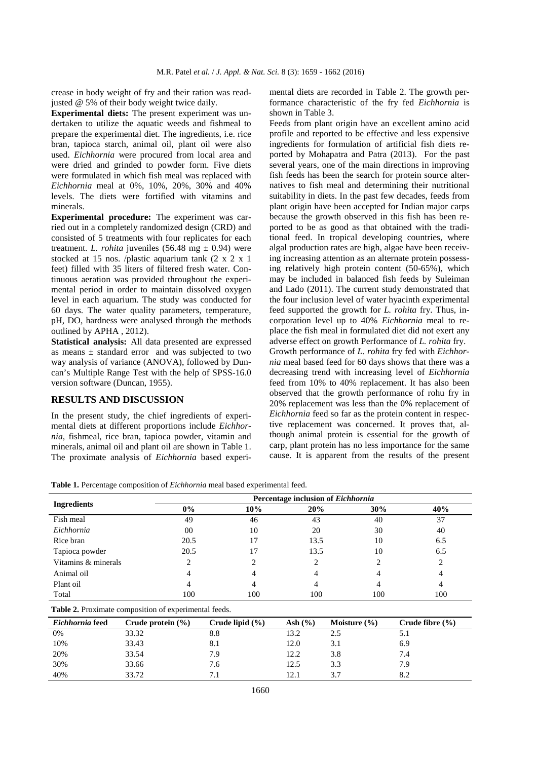crease in body weight of fry and their ration was readjusted @ 5% of their body weight twice daily.

**Experimental diets:** The present experiment was undertaken to utilize the aquatic weeds and fishmeal to prepare the experimental diet. The ingredients, i.e. rice bran, tapioca starch, animal oil, plant oil were also used. *Eichhornia* were procured from local area and were dried and grinded to powder form. Five diets were formulated in which fish meal was replaced with *Eichhornia* meal at 0%, 10%, 20%, 30% and 40% levels. The diets were fortified with vitamins and minerals.

**Experimental procedure:** The experiment was carried out in a completely randomized design (CRD) and consisted of 5 treatments with four replicates for each treatment. *L. rohita* juveniles (56.48 mg  $\pm$  0.94) were stocked at 15 nos. /plastic aquarium tank (2 x 2 x 1 feet) filled with 35 liters of filtered fresh water. Continuous aeration was provided throughout the experimental period in order to maintain dissolved oxygen level in each aquarium. The study was conducted for 60 days. The water quality parameters, temperature, pH, DO, hardness were analysed through the methods outlined by APHA , 2012).

**Statistical analysis:** All data presented are expressed as means  $\pm$  standard error and was subjected to two way analysis of variance (ANOVA), followed by Duncan's Multiple Range Test with the help of SPSS-16.0 version software (Duncan, 1955).

## **RESULTS AND DISCUSSION**

In the present study, the chief ingredients of experimental diets at different proportions include *Eichhornia*, fishmeal, rice bran*,* tapioca powder, vitamin and minerals, animal oil and plant oil are shown in Table 1. The proximate analysis of *Eichhornia* based experimental diets are recorded in Table 2. The growth performance characteristic of the fry fed *Eichhornia* is shown in Table 3.

Feeds from plant origin have an excellent amino acid profile and reported to be effective and less expensive ingredients for formulation of artificial fish diets reported by Mohapatra and Patra (2013). For the past several years, one of the main directions in improving fish feeds has been the search for protein source alternatives to fish meal and determining their nutritional suitability in diets. In the past few decades, feeds from plant origin have been accepted for Indian major carps because the growth observed in this fish has been reported to be as good as that obtained with the traditional feed. In tropical developing countries, where algal production rates are high, algae have been receiving increasing attention as an alternate protein possessing relatively high protein content (50-65%), which may be included in balanced fish feeds by Suleiman and Lado (2011). The current study demonstrated that the four inclusion level of water hyacinth experimental feed supported the growth for *L. rohita* fry. Thus, incorporation level up to 40% *Eichhornia* meal to replace the fish meal in formulated diet did not exert any adverse effect on growth Performance of *L. rohita* fry. Growth performance of *L. rohita* fry fed with *Eichhornia* meal based feed for 60 days shows that there was a decreasing trend with increasing level of *Eichhornia*  feed from 10% to 40% replacement. It has also been observed that the growth performance of rohu fry in 20% replacement was less than the 0% replacement of *Eichhornia* feed so far as the protein content in respective replacement was concerned. It proves that, although animal protein is essential for the growth of carp, plant protein has no less importance for the same cause. It is apparent from the results of the present

**Table 1.** Percentage composition of *Eichhornia* meal based experimental feed.

|                     | Percentage inclusion of <i>Eichhornia</i> |     |      |     |     |  |  |
|---------------------|-------------------------------------------|-----|------|-----|-----|--|--|
| Ingredients         | $0\%$                                     | 10% | 20%  | 30% | 40% |  |  |
| Fish meal           | 49                                        | 46  | 43   | 40  | 37  |  |  |
| Eichhornia          | 00                                        | 10  | 20   | 30  | 40  |  |  |
| Rice bran           | 20.5                                      | 17  | 13.5 | 10  | 6.5 |  |  |
| Tapioca powder      | 20.5                                      | 17  | 13.5 | 10  | 6.5 |  |  |
| Vitamins & minerals | $\overline{c}$                            | 2   |      | 2   | 2   |  |  |
| Animal oil          | 4                                         | 4   |      | 4   |     |  |  |
| Plant oil           | 4                                         |     |      |     |     |  |  |
| Total               | 100                                       | 100 | 100  | 100 | 100 |  |  |

| Eichhornia feed | Crude protein $(\% )$ | Crude lipid $(\% )$ | Ash $(\% )$ | Moisture $(\% )$ | Crude fibre $(\% )$ |
|-----------------|-----------------------|---------------------|-------------|------------------|---------------------|
| $0\%$           | 33.32                 | 8.8                 |             |                  | э. I                |
| 10%             | 33.43                 | 8.1                 | 12.0        | 3.1              | 6.9                 |
| 20%             | 33.54                 | 7.9                 | 12.2        | 3.8              | 7.4                 |
| 30%             | 33.66                 | 7.6                 | 12.5        | 3.3              | 7.9                 |
| 40%             | 33.72                 |                     |             | 3.7              |                     |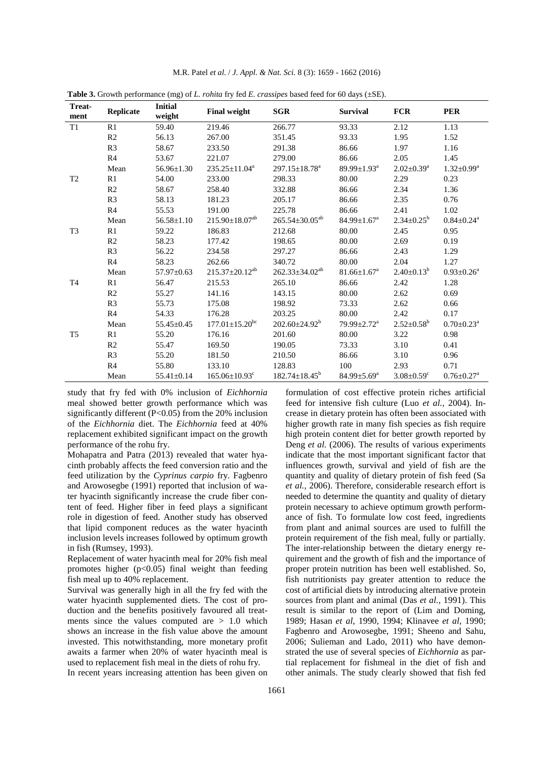| Treat-<br>ment | Replicate      | $\sim$ $\sigma$<br><b>Initial</b><br>weight | <b>Final weight</b>              | <b>SGR</b>              | <b>Survival</b>               | <b>FCR</b>                   | <b>PER</b>                   |
|----------------|----------------|---------------------------------------------|----------------------------------|-------------------------|-------------------------------|------------------------------|------------------------------|
| T1             | R1             | 59.40                                       | 219.46                           | 266.77                  | 93.33                         | 2.12                         | 1.13                         |
|                | R <sub>2</sub> | 56.13                                       | 267.00                           | 351.45                  | 93.33                         | 1.95                         | 1.52                         |
|                | R3             | 58.67                                       | 233.50                           | 291.38                  | 86.66                         | 1.97                         | 1.16                         |
|                | R <sub>4</sub> | 53.67                                       | 221.07                           | 279.00                  | 86.66                         | 2.05                         | 1.45                         |
|                | Mean           | $56.96 \pm 1.30$                            | $235.25 \pm 11.04^a$             | $297.15 \pm 18.78^a$    | 89.99 $\pm$ 1.93 <sup>a</sup> | $2.02 \pm 0.39^{\text{a}}$   | $1.32 \pm 0.99^a$            |
| T <sub>2</sub> | R1             | 54.00                                       | 233.00                           | 298.33                  | 80.00                         | 2.29                         | 0.23                         |
|                | R <sub>2</sub> | 58.67                                       | 258.40                           | 332.88                  | 86.66                         | 2.34                         | 1.36                         |
|                | R3             | 58.13                                       | 181.23                           | 205.17                  | 86.66                         | 2.35                         | 0.76                         |
|                | R <sub>4</sub> | 55.53                                       | 191.00                           | 225.78                  | 86.66                         | 2.41                         | 1.02                         |
|                | Mean           | $56.58 \pm 1.10$                            | $215.90 \pm 18.07^{ab}$          | $265.54 \pm 30.05^{ab}$ | $84.99 \pm 1.67$ <sup>a</sup> | $2.34 \pm 0.25^b$            | $0.84 \pm 0.24$ <sup>a</sup> |
| T <sub>3</sub> | R1             | 59.22                                       | 186.83                           | 212.68                  | 80.00                         | 2.45                         | 0.95                         |
|                | R2             | 58.23                                       | 177.42                           | 198.65                  | 80.00                         | 2.69                         | 0.19                         |
|                | R3             | 56.22                                       | 234.58                           | 297.27                  | 86.66                         | 2.43                         | 1.29                         |
|                | R <sub>4</sub> | 58.23                                       | 262.66                           | 340.72                  | 80.00                         | 2.04                         | 1.27                         |
|                | Mean           | $57.97 \pm 0.63$                            | $215.37 \pm 20.12^{ab}$          | $262.33 \pm 34.02^{ab}$ | $81.66 \pm 1.67$ <sup>a</sup> | $2.40 \pm 0.13^b$            | $0.93 \pm 0.26^a$            |
| T <sub>4</sub> | R1             | 56.47                                       | 215.53                           | 265.10                  | 86.66                         | 2.42                         | 1.28                         |
|                | R <sub>2</sub> | 55.27                                       | 141.16                           | 143.15                  | 80.00                         | 2.62                         | 0.69                         |
|                | R3             | 55.73                                       | 175.08                           | 198.92                  | 73.33                         | 2.62                         | 0.66                         |
|                | R <sub>4</sub> | 54.33                                       | 176.28                           | 203.25                  | 80.00                         | 2.42                         | 0.17                         |
|                | Mean           | $55.45 \pm 0.45$                            | $177.01 \pm 15.20$ <sup>bc</sup> | $202.60 \pm 24.92^b$    | $79.99 \pm 2.72^{\text{a}}$   | $2.52 \pm 0.58^b$            | $0.70 \pm 0.23$ <sup>a</sup> |
| T <sub>5</sub> | R1             | 55.20                                       | 176.16                           | 201.60                  | 80.00                         | 3.22                         | 0.98                         |
|                | R <sub>2</sub> | 55.47                                       | 169.50                           | 190.05                  | 73.33                         | 3.10                         | 0.41                         |
|                | R <sub>3</sub> | 55.20                                       | 181.50                           | 210.50                  | 86.66                         | 3.10                         | 0.96                         |
|                | R4             | 55.80                                       | 133.10                           | 128.83                  | 100                           | 2.93                         | 0.71                         |
|                | Mean           | $55.41 \pm 0.14$                            | $165.06 \pm 10.93$ <sup>c</sup>  | $182.74 \pm 18.45^b$    | $84.99 \pm 5.69^{\mathrm{a}}$ | $3.08 \pm 0.59$ <sup>c</sup> | $0.76 \pm 0.27$ <sup>a</sup> |

M.R. Patel *et al.* / *J. Appl. & Nat. Sci.* 8 (3): 1659 - 1662 (2016)

**Table 3.** Growth performance (mg) of *L. rohita* fry fed *E. crassipes* based feed for 60 days (±SE).

study that fry fed with 0% inclusion of *Eichhornia*  meal showed better growth performance which was significantly different (P<0.05) from the 20% inclusion of the *Eichhornia* diet. The *Eichhornia* feed at 40% replacement exhibited significant impact on the growth performance of the rohu fry.

Mohapatra and Patra (2013) revealed that water hyacinth probably affects the feed conversion ratio and the feed utilization by the *Cyprinus carpio* fry. Fagbenro and Arowosegbe (1991) reported that inclusion of water hyacinth significantly increase the crude fiber content of feed. Higher fiber in feed plays a significant role in digestion of feed. Another study has observed that lipid component reduces as the water hyacinth inclusion levels increases followed by optimum growth in fish (Rumsey, 1993).

Replacement of water hyacinth meal for 20% fish meal promotes higher  $(p<0.05)$  final weight than feeding fish meal up to 40% replacement.

Survival was generally high in all the fry fed with the water hyacinth supplemented diets. The cost of production and the benefits positively favoured all treatments since the values computed are  $> 1.0$  which shows an increase in the fish value above the amount invested. This notwithstanding, more monetary profit awaits a farmer when 20% of water hyacinth meal is used to replacement fish meal in the diets of rohu fry*.*  In recent years increasing attention has been given on

formulation of cost effective protein riches artificial feed for intensive fish culture (Luo *et al.,* 2004). Increase in dietary protein has often been associated with higher growth rate in many fish species as fish require high protein content diet for better growth reported by Deng *et al.* (2006). The results of various experiments indicate that the most important significant factor that influences growth, survival and yield of fish are the quantity and quality of dietary protein of fish feed (Sa *et al.,* 2006). Therefore, considerable research effort is needed to determine the quantity and quality of dietary protein necessary to achieve optimum growth performance of fish. To formulate low cost feed, ingredients from plant and animal sources are used to fulfill the protein requirement of the fish meal, fully or partially. The inter-relationship between the dietary energy requirement and the growth of fish and the importance of proper protein nutrition has been well established. So, fish nutritionists pay greater attention to reduce the cost of artificial diets by introducing alternative protein sources from plant and animal (Das *et al.,* 1991). This result is similar to the report of (Lim and Doming, 1989; Hasan *et al*, 1990, 1994; Klinavee *et al*, 1990; Fagbenro and Arowosegbe, 1991; Sheeno and Sahu, 2006; Sulieman and Lado, 2011) who have demonstrated the use of several species of *Eichhornia* as partial replacement for fishmeal in the diet of fish and other animals. The study clearly showed that fish fed